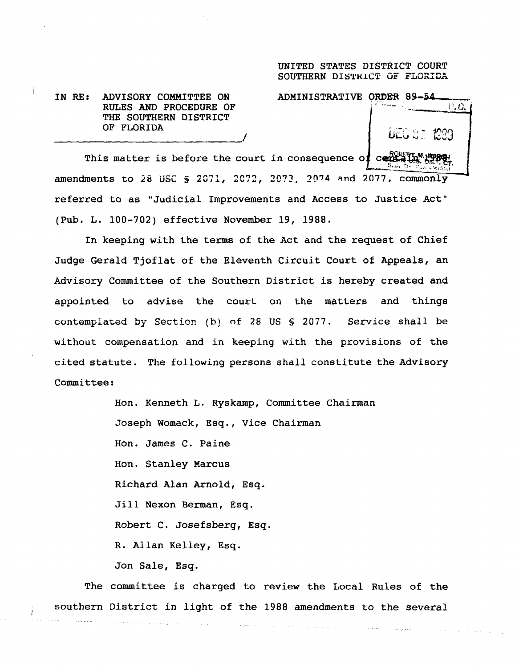## UNITED STATES DISTRICT COURT SOUTHERN DISTRICT OF FLORIDA

**IN RE :** ADVISORY **COMMITTEE ON RULES AND PROCEDURE OF THE SOUTHERN** DISTRICT OF FLORIDA

ADMINISTRATIVE ORDER 89-54

 $0, 0.$ 

This matter is before the court in consequence of cere amendments to 28 USC  $\frac{1}{9}$  2071, 2072, 2073, 2074 and 2077, commonly referred to as "Judicial Improvements and Access to Justice Act" (Pub. L. 100-702) effective November 19, 1988.

In keeping with the terms of the Act and the request of Chief Judge Gerald Tjoflat of the Eleventh Circuit Court of Appeals, an Advisory Committee of the Southern District is hereby created and appointed to advise the court on the matters and things contemplated by Section (b) of 28 US § 2077. Service shall be without compensation and in keeping with the provisions of the cited statute. The following persons shall constitute the Advisory Committee :

> **Hon . Kenneth L . Ryskamp, Co**mm**ittee Chairman Joseph Womack** , **Esq ., Vice Chairman Hon . James C . Paine Hon . Stanley Marcus Richard Alan Arnold, Esq .** Jill **Nexon Berman, Esq . Robert C** . **Josefsberg, Esq . R . Allan Kelley, Esq . Jon Sale, Esq .**

**The committee is charged to review the Local Rules of the southern District in light of the 1988 amendments to the several**